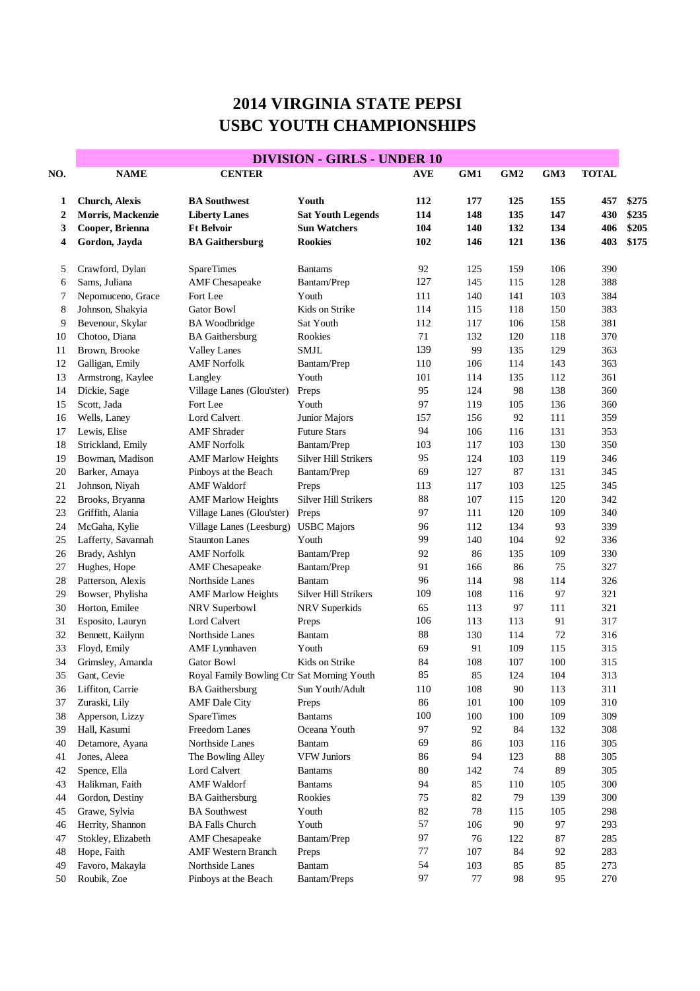## **2014 VIRGINIA STATE PEPSI USBC YOUTH CHAMPIONSHIPS**

|                             | <b>DIVISION - GIRLS - UNDER 10</b>                                             |                                                                                            |                                                                            |                          |                          |                          |                          |                          |                                  |  |  |
|-----------------------------|--------------------------------------------------------------------------------|--------------------------------------------------------------------------------------------|----------------------------------------------------------------------------|--------------------------|--------------------------|--------------------------|--------------------------|--------------------------|----------------------------------|--|--|
| NO.                         | <b>NAME</b>                                                                    | <b>CENTER</b>                                                                              |                                                                            | <b>AVE</b>               | GM1                      | GM2                      | GM3                      | <b>TOTAL</b>             |                                  |  |  |
| 1<br>$\mathbf{2}$<br>3<br>4 | <b>Church, Alexis</b><br>Morris, Mackenzie<br>Cooper, Brienna<br>Gordon, Jayda | <b>BA Southwest</b><br><b>Liberty Lanes</b><br><b>Ft Belvoir</b><br><b>BA Gaithersburg</b> | Youth<br><b>Sat Youth Legends</b><br><b>Sun Watchers</b><br><b>Rookies</b> | 112<br>114<br>104<br>102 | 177<br>148<br>140<br>146 | 125<br>135<br>132<br>121 | 155<br>147<br>134<br>136 | 457<br>430<br>406<br>403 | \$275<br>\$235<br>\$205<br>\$175 |  |  |
| 5                           | Crawford, Dylan                                                                | <b>SpareTimes</b>                                                                          | <b>Bantams</b>                                                             | 92                       | 125                      | 159                      | 106                      | 390                      |                                  |  |  |
| 6                           | Sams, Juliana                                                                  | <b>AMF</b> Chesapeake                                                                      | Bantam/Prep                                                                | 127                      | 145                      | 115                      | 128                      | 388                      |                                  |  |  |
| 7                           | Nepomuceno, Grace                                                              | Fort Lee                                                                                   | Youth                                                                      | 111                      | 140                      | 141                      | 103                      | 384                      |                                  |  |  |
| 8                           | Johnson, Shakyia                                                               | Gator Bowl                                                                                 | Kids on Strike                                                             | 114                      | 115                      | 118                      | 150                      | 383                      |                                  |  |  |
| 9                           | Bevenour, Skylar                                                               | <b>BA</b> Woodbridge                                                                       | Sat Youth                                                                  | 112                      | 117                      | 106                      | 158                      | 381                      |                                  |  |  |
| 10                          | Chotoo, Diana                                                                  | <b>BA</b> Gaithersburg                                                                     | Rookies                                                                    | 71                       | 132                      | 120                      | 118                      | 370                      |                                  |  |  |
| 11                          | Brown, Brooke                                                                  | <b>Valley Lanes</b>                                                                        | <b>SMJL</b>                                                                | 139                      | 99                       | 135                      | 129                      | 363                      |                                  |  |  |
| 12                          | Galligan, Emily                                                                | <b>AMF</b> Norfolk                                                                         | Bantam/Prep                                                                | 110                      | 106                      | 114                      | 143                      | 363                      |                                  |  |  |
| 13                          | Armstrong, Kaylee                                                              | Langley                                                                                    | Youth                                                                      | 101                      | 114                      | 135                      | 112                      | 361                      |                                  |  |  |
| 14                          | Dickie, Sage                                                                   | Village Lanes (Glou'ster)                                                                  | Preps                                                                      | 95                       | 124                      | 98                       | 138                      | 360                      |                                  |  |  |
| 15                          | Scott, Jada                                                                    | Fort Lee                                                                                   | Youth                                                                      | 97                       | 119                      | 105                      | 136                      | 360                      |                                  |  |  |
| 16                          | Wells, Laney                                                                   | <b>Lord Calvert</b>                                                                        | Junior Majors                                                              | 157                      | 156                      | 92                       | 111                      | 359                      |                                  |  |  |
| 17                          | Lewis, Elise                                                                   | <b>AMF</b> Shrader                                                                         | <b>Future Stars</b>                                                        | 94                       | 106                      | 116                      | 131                      | 353                      |                                  |  |  |
| 18                          | Strickland, Emily                                                              | <b>AMF</b> Norfolk                                                                         | Bantam/Prep                                                                | 103                      | 117                      | 103                      | 130                      | 350                      |                                  |  |  |
| 19                          | Bowman, Madison                                                                | <b>AMF Marlow Heights</b>                                                                  | <b>Silver Hill Strikers</b>                                                | 95                       | 124                      | 103                      | 119                      | 346                      |                                  |  |  |
| 20                          | Barker, Amaya                                                                  | Pinboys at the Beach                                                                       | Bantam/Prep                                                                | 69                       | 127                      | 87                       | 131                      | 345                      |                                  |  |  |
| 21                          | Johnson, Niyah                                                                 | <b>AMF</b> Waldorf                                                                         | Preps                                                                      | 113                      | 117                      | 103                      | 125                      | 345                      |                                  |  |  |
| 22                          | Brooks, Bryanna                                                                | <b>AMF Marlow Heights</b>                                                                  | Silver Hill Strikers                                                       | 88                       | 107                      | 115                      | 120                      | 342                      |                                  |  |  |
| 23                          | Griffith, Alania                                                               | Village Lanes (Glou'ster)                                                                  | Preps                                                                      | 97                       | 111                      | 120                      | 109                      | 340                      |                                  |  |  |
| 24                          | McGaha, Kylie                                                                  | Village Lanes (Leesburg)                                                                   | <b>USBC</b> Majors                                                         | 96                       | 112                      | 134                      | 93                       | 339                      |                                  |  |  |
| 25                          | Lafferty, Savannah                                                             | <b>Staunton Lanes</b>                                                                      | Youth                                                                      | 99                       | 140                      | 104                      | 92                       | 336                      |                                  |  |  |
| 26                          | Brady, Ashlyn                                                                  | <b>AMF Norfolk</b>                                                                         | Bantam/Prep                                                                | 92                       | 86                       | 135                      | 109                      | 330                      |                                  |  |  |
| 27                          | Hughes, Hope                                                                   | <b>AMF</b> Chesapeake                                                                      | Bantam/Prep                                                                | 91                       | 166                      | 86                       | 75                       | 327                      |                                  |  |  |
| 28                          | Patterson, Alexis                                                              | Northside Lanes                                                                            | Bantam                                                                     | 96                       | 114                      | 98                       | 114                      | 326                      |                                  |  |  |
| 29                          | Bowser, Phylisha                                                               | <b>AMF Marlow Heights</b>                                                                  | Silver Hill Strikers                                                       | 109                      | 108                      | 116                      | 97                       | 321                      |                                  |  |  |
| 30                          | Horton, Emilee                                                                 | NRV Superbowl                                                                              | NRV Superkids                                                              | 65                       | 113                      | 97                       | 111                      | 321                      |                                  |  |  |
| 31                          | Esposito, Lauryn                                                               | <b>Lord Calvert</b>                                                                        | Preps                                                                      | 106                      | 113                      | 113                      | 91                       | 317                      |                                  |  |  |
| 32                          | Bennett, Kailynn                                                               | Northside Lanes                                                                            | Bantam                                                                     | 88                       | 130                      | 114                      | 72                       | 316                      |                                  |  |  |
| 33                          | Floyd, Emily                                                                   | <b>AMF</b> Lynnhaven                                                                       | Youth                                                                      | 69                       | 91                       | 109                      | 115                      | 315                      |                                  |  |  |
| 34                          | Grimsley, Amanda                                                               | <b>Gator Bowl</b>                                                                          | Kids on Strike                                                             | 84                       | 108                      | 107                      | 100                      | 315                      |                                  |  |  |
| 35                          | Gant, Cevie                                                                    | Royal Family Bowling Ctr Sat Morning Youth                                                 |                                                                            | 85                       | 85                       | 124                      | 104                      | 313                      |                                  |  |  |
| 36                          | Liffiton, Carrie                                                               | <b>BA</b> Gaithersburg                                                                     | Sun Youth/Adult                                                            | $110\,$                  | 108                      | 90                       | 113                      | 311                      |                                  |  |  |
| 37                          | Zuraski, Lily                                                                  | <b>AMF</b> Dale City                                                                       | Preps                                                                      | 86                       | 101                      | 100                      | 109                      | 310                      |                                  |  |  |
| 38                          | Apperson, Lizzy                                                                | <b>SpareTimes</b>                                                                          | <b>Bantams</b>                                                             | 100                      | 100                      | 100                      | 109                      | 309                      |                                  |  |  |
| 39                          | Hall, Kasumi                                                                   | Freedom Lanes                                                                              | Oceana Youth                                                               | 97                       | 92                       | 84                       | 132                      | 308                      |                                  |  |  |
| 40                          | Detamore, Ayana                                                                | Northside Lanes                                                                            | <b>Bantam</b>                                                              | 69                       | 86                       | 103                      | 116                      | 305                      |                                  |  |  |
| 41                          | Jones, Aleea                                                                   | The Bowling Alley                                                                          | <b>VFW Juniors</b>                                                         | 86                       | 94                       | 123                      | 88                       | 305                      |                                  |  |  |
| 42                          | Spence, Ella                                                                   | Lord Calvert                                                                               | <b>Bantams</b>                                                             | $80\,$                   | 142                      | 74                       | 89                       | 305                      |                                  |  |  |
| 43                          | Halikman, Faith                                                                | <b>AMF Waldorf</b>                                                                         | <b>Bantams</b>                                                             | 94                       | 85                       | 110                      | 105                      | 300                      |                                  |  |  |
| 44                          | Gordon, Destiny                                                                | <b>BA</b> Gaithersburg                                                                     | Rookies                                                                    | 75                       | 82                       | 79                       | 139                      | 300                      |                                  |  |  |
| 45                          | Grawe, Sylvia                                                                  | <b>BA</b> Southwest                                                                        | Youth                                                                      | 82                       | 78                       | 115                      | 105                      | 298                      |                                  |  |  |
| 46                          | Herrity, Shannon                                                               | <b>BA Falls Church</b>                                                                     | Youth                                                                      | 57                       | 106                      | 90                       | 97                       | 293                      |                                  |  |  |
| 47                          | Stokley, Elizabeth                                                             | <b>AMF</b> Chesapeake                                                                      | Bantam/Prep                                                                | 97                       | 76                       | 122                      | 87                       | 285                      |                                  |  |  |
| 48                          | Hope, Faith                                                                    | <b>AMF Western Branch</b>                                                                  | Preps                                                                      | $77\,$                   | $107\,$                  | 84                       | 92                       | 283                      |                                  |  |  |
| 49                          | Favoro, Makayla                                                                | Northside Lanes                                                                            | <b>Bantam</b>                                                              | 54                       | 103                      | 85                       | 85                       | 273                      |                                  |  |  |
| 50                          | Roubik, Zoe                                                                    | Pinboys at the Beach                                                                       | Bantam/Preps                                                               | 97                       | 77                       | 98                       | 95                       | 270                      |                                  |  |  |